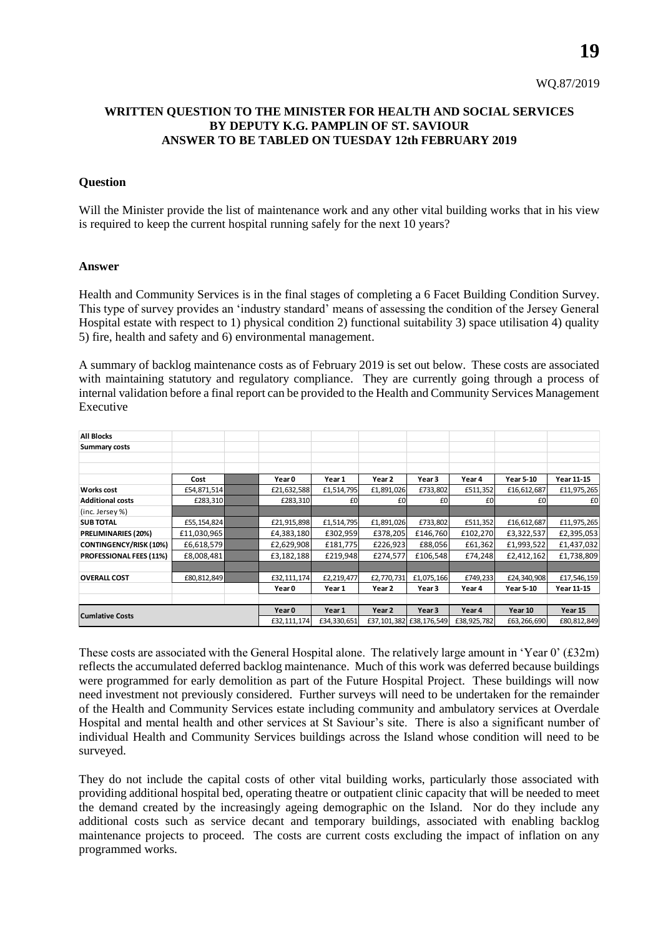## **WRITTEN QUESTION TO THE MINISTER FOR HEALTH AND SOCIAL SERVICES BY DEPUTY K.G. PAMPLIN OF ST. SAVIOUR ANSWER TO BE TABLED ON TUESDAY 12th FEBRUARY 2019**

## **Question**

Will the Minister provide the list of maintenance work and any other vital building works that in his view is required to keep the current hospital running safely for the next 10 years?

## **Answer**

Health and Community Services is in the final stages of completing a 6 Facet Building Condition Survey. This type of survey provides an 'industry standard' means of assessing the condition of the Jersey General Hospital estate with respect to 1) physical condition 2) functional suitability 3) space utilisation 4) quality 5) fire, health and safety and 6) environmental management.

A summary of backlog maintenance costs as of February 2019 is set out below. These costs are associated with maintaining statutory and regulatory compliance. They are currently going through a process of internal validation before a final report can be provided to the Health and Community Services Management Executive

| <b>All Blocks</b>             |             |  |             |             |            |                         |             |                  |                   |
|-------------------------------|-------------|--|-------------|-------------|------------|-------------------------|-------------|------------------|-------------------|
| <b>Summary costs</b>          |             |  |             |             |            |                         |             |                  |                   |
|                               |             |  |             |             |            |                         |             |                  |                   |
|                               |             |  |             |             |            |                         |             |                  |                   |
|                               | Cost        |  | Year 0      | Year 1      | Year 2     | Year 3                  | Year 4      | <b>Year 5-10</b> | Year 11-15        |
| <b>Works cost</b>             | £54,871,514 |  | £21,632,588 | £1,514,795  | £1,891,026 | £733,802                | £511,352    | £16,612,687      | £11,975,265       |
| <b>Additional costs</b>       | £283,310    |  | £283,310    | £0          | £0         | £0                      | £0          | £0               | £0                |
| (inc. Jersey %)               |             |  |             |             |            |                         |             |                  |                   |
| <b>SUB TOTAL</b>              | £55,154,824 |  | £21,915,898 | £1,514,795  | £1,891,026 | £733,802                | £511,352    | £16,612,687      | £11,975,265       |
| PRELIMINARIES (20%)           | £11,030,965 |  | £4,383,180  | £302,959    | £378,205   | £146,760                | £102,270    | £3,322,537       | £2,395,053        |
| <b>CONTINGENCY/RISK (10%)</b> | £6,618,579  |  | £2,629,908  | £181,775    | £226,923   | £88,056                 | £61,362     | £1,993,522       | £1,437,032        |
| PROFESSIONAL FEES (11%)       | £8,008,481  |  | £3,182,188  | £219,948    | £274,577   | £106,548                | £74,248     | £2,412,162       | £1,738,809        |
|                               |             |  |             |             |            |                         |             |                  |                   |
| <b>OVERALL COST</b>           | £80,812,849 |  | £32,111,174 | £2,219,477  | £2,770,731 | £1,075,166              | £749,233    | £24,340,908      | £17,546,159       |
|                               |             |  | Year 0      | Year 1      | Year 2     | Year 3                  | Year 4      | <b>Year 5-10</b> | <b>Year 11-15</b> |
|                               |             |  |             |             |            |                         |             |                  |                   |
| <b>Cumlative Costs</b>        |             |  | Year 0      | Year 1      | Year 2     | Year 3                  | Year 4      | Year 10          | Year 15           |
|                               |             |  | £32,111,174 | £34,330,651 |            | £37,101,382 £38,176,549 | £38,925,782 | £63,266,690      | £80,812,849       |

These costs are associated with the General Hospital alone. The relatively large amount in 'Year  $0$ ' (£32m) reflects the accumulated deferred backlog maintenance. Much of this work was deferred because buildings were programmed for early demolition as part of the Future Hospital Project. These buildings will now need investment not previously considered. Further surveys will need to be undertaken for the remainder of the Health and Community Services estate including community and ambulatory services at Overdale Hospital and mental health and other services at St Saviour's site. There is also a significant number of individual Health and Community Services buildings across the Island whose condition will need to be surveyed.

They do not include the capital costs of other vital building works, particularly those associated with providing additional hospital bed, operating theatre or outpatient clinic capacity that will be needed to meet the demand created by the increasingly ageing demographic on the Island. Nor do they include any additional costs such as service decant and temporary buildings, associated with enabling backlog maintenance projects to proceed. The costs are current costs excluding the impact of inflation on any programmed works.